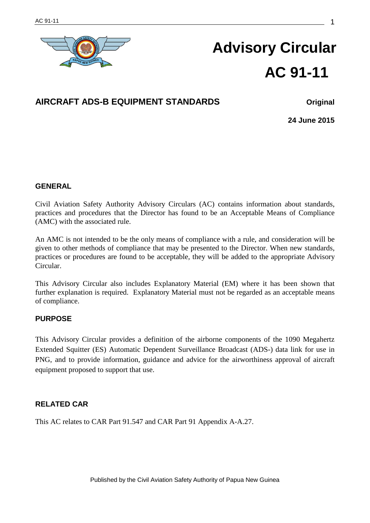

# **Advisory Circular AC 91-11**

# **AIRCRAFT ADS-B EQUIPMENT STANDARDS Original**

**24 June 2015**

#### **GENERAL**

Civil Aviation Safety Authority Advisory Circulars (AC) contains information about standards, practices and procedures that the Director has found to be an Acceptable Means of Compliance (AMC) with the associated rule.

An AMC is not intended to be the only means of compliance with a rule, and consideration will be given to other methods of compliance that may be presented to the Director. When new standards, practices or procedures are found to be acceptable, they will be added to the appropriate Advisory Circular.

This Advisory Circular also includes Explanatory Material (EM) where it has been shown that further explanation is required. Explanatory Material must not be regarded as an acceptable means of compliance.

#### **PURPOSE**

This Advisory Circular provides a definition of the airborne components of the 1090 Megahertz Extended Squitter (ES) Automatic Dependent Surveillance Broadcast (ADS-) data link for use in PNG, and to provide information, guidance and advice for the airworthiness approval of aircraft equipment proposed to support that use.

# **RELATED CAR**

This AC relates to CAR Part 91.547 and CAR Part 91 Appendix A-A.27.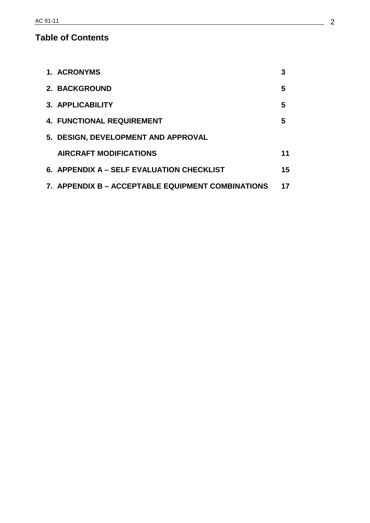# **Table of Contents**

| 1. ACRONYMS                                       | 3  |
|---------------------------------------------------|----|
| 2. BACKGROUND                                     | 5  |
| 3. APPLICABILITY                                  | 5  |
| <b>4. FUNCTIONAL REQUIREMENT</b>                  | 5  |
| 5. DESIGN, DEVELOPMENT AND APPROVAL               |    |
| <b>AIRCRAFT MODIFICATIONS</b>                     | 11 |
| 6. APPENDIX A – SELF EVALUATION CHECKLIST         | 15 |
| 7. APPENDIX B – ACCEPTABLE EQUIPMENT COMBINATIONS | 17 |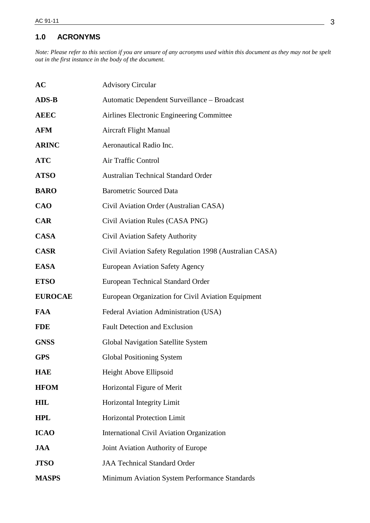# **1.0 ACRONYMS**

*Note: Please refer to this section if you are unsure of any acronyms used within this document as they may not be spelt out in the first instance in the body of the document.*

| <b>AC</b>      | <b>Advisory Circular</b>                                |
|----------------|---------------------------------------------------------|
| <b>ADS-B</b>   | Automatic Dependent Surveillance - Broadcast            |
| <b>AEEC</b>    | Airlines Electronic Engineering Committee               |
| <b>AFM</b>     | <b>Aircraft Flight Manual</b>                           |
| <b>ARINC</b>   | Aeronautical Radio Inc.                                 |
| <b>ATC</b>     | Air Traffic Control                                     |
| <b>ATSO</b>    | <b>Australian Technical Standard Order</b>              |
| <b>BARO</b>    | <b>Barometric Sourced Data</b>                          |
| <b>CAO</b>     | Civil Aviation Order (Australian CASA)                  |
| <b>CAR</b>     | Civil Aviation Rules (CASA PNG)                         |
| <b>CASA</b>    | Civil Aviation Safety Authority                         |
| <b>CASR</b>    | Civil Aviation Safety Regulation 1998 (Australian CASA) |
| <b>EASA</b>    | <b>European Aviation Safety Agency</b>                  |
| <b>ETSO</b>    | <b>European Technical Standard Order</b>                |
| <b>EUROCAE</b> | European Organization for Civil Aviation Equipment      |
| <b>FAA</b>     | Federal Aviation Administration (USA)                   |
| <b>FDE</b>     | <b>Fault Detection and Exclusion</b>                    |
| <b>GNSS</b>    | <b>Global Navigation Satellite System</b>               |
| <b>GPS</b>     | <b>Global Positioning System</b>                        |
| <b>HAE</b>     | Height Above Ellipsoid                                  |
| <b>HFOM</b>    | Horizontal Figure of Merit                              |
| <b>HIL</b>     | Horizontal Integrity Limit                              |
| <b>HPL</b>     | Horizontal Protection Limit                             |
| <b>ICAO</b>    | International Civil Aviation Organization               |
| <b>JAA</b>     | Joint Aviation Authority of Europe                      |
| <b>JTSO</b>    | <b>JAA Technical Standard Order</b>                     |
| <b>MASPS</b>   | Minimum Aviation System Performance Standards           |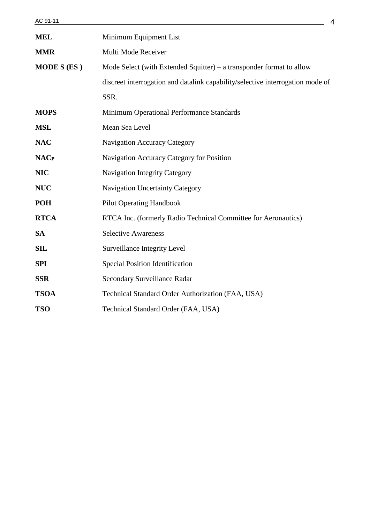| <b>MEL</b>         | Minimum Equipment List                                                         |  |  |
|--------------------|--------------------------------------------------------------------------------|--|--|
| <b>MMR</b>         | Multi Mode Receiver                                                            |  |  |
| <b>MODE S (ES)</b> | Mode Select (with Extended Squitter) – a transponder format to allow           |  |  |
|                    | discreet interrogation and datalink capability/selective interrogation mode of |  |  |
|                    | SSR.                                                                           |  |  |
| <b>MOPS</b>        | Minimum Operational Performance Standards                                      |  |  |
| <b>MSL</b>         | Mean Sea Level                                                                 |  |  |
| <b>NAC</b>         | <b>Navigation Accuracy Category</b>                                            |  |  |
| <b>NACP</b>        | Navigation Accuracy Category for Position                                      |  |  |
| <b>NIC</b>         | <b>Navigation Integrity Category</b>                                           |  |  |
| <b>NUC</b>         | <b>Navigation Uncertainty Category</b>                                         |  |  |
| <b>POH</b>         | <b>Pilot Operating Handbook</b>                                                |  |  |
| <b>RTCA</b>        | RTCA Inc. (formerly Radio Technical Committee for Aeronautics)                 |  |  |
| <b>SA</b>          | <b>Selective Awareness</b>                                                     |  |  |
| <b>SIL</b>         | <b>Surveillance Integrity Level</b>                                            |  |  |
| <b>SPI</b>         | <b>Special Position Identification</b>                                         |  |  |
| <b>SSR</b>         | Secondary Surveillance Radar                                                   |  |  |
| <b>TSOA</b>        | Technical Standard Order Authorization (FAA, USA)                              |  |  |
| <b>TSO</b>         | Technical Standard Order (FAA, USA)                                            |  |  |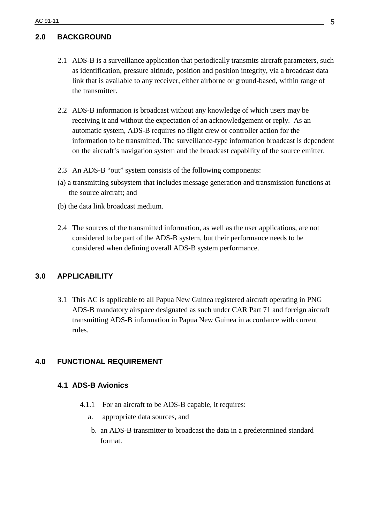# **2.0 BACKGROUND**

- 2.1 ADS-B is a surveillance application that periodically transmits aircraft parameters, such as identification, pressure altitude, position and position integrity, via a broadcast data link that is available to any receiver, either airborne or ground-based, within range of the transmitter.
- 2.2 ADS-B information is broadcast without any knowledge of which users may be receiving it and without the expectation of an acknowledgement or reply. As an automatic system, ADS-B requires no flight crew or controller action for the information to be transmitted. The surveillance-type information broadcast is dependent on the aircraft's navigation system and the broadcast capability of the source emitter.
- 2.3 An ADS-B "out" system consists of the following components:
- (a) a transmitting subsystem that includes message generation and transmission functions at the source aircraft; and
- (b) the data link broadcast medium.
- 2.4 The sources of the transmitted information, as well as the user applications, are not considered to be part of the ADS-B system, but their performance needs to be considered when defining overall ADS-B system performance.

# **3.0 APPLICABILITY**

3.1 This AC is applicable to all Papua New Guinea registered aircraft operating in PNG ADS-B mandatory airspace designated as such under CAR Part 71 and foreign aircraft transmitting ADS-B information in Papua New Guinea in accordance with current rules.

# **4.0 FUNCTIONAL REQUIREMENT**

#### **4.1 ADS-B Avionics**

- 4.1.1 For an aircraft to be ADS-B capable, it requires:
	- a. appropriate data sources, and
	- b. an ADS-B transmitter to broadcast the data in a predetermined standard format.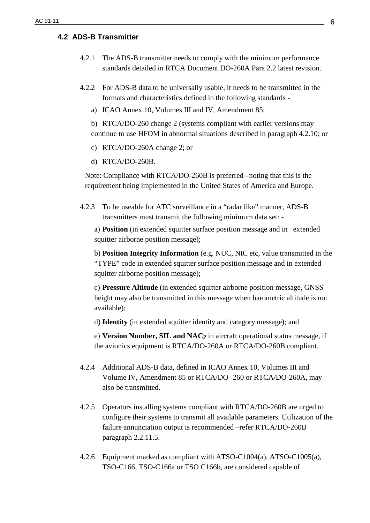#### **4.2 ADS-B Transmitter**

- 4.2.1 The ADS-B transmitter needs to comply with the minimum performance standards detailed in RTCA Document DO-260A Para 2.2 latest revision.
- 4.2.2 For ADS-B data to be universally usable, it needs to be transmitted in the formats and characteristics defined in the following standards
	- a) ICAO Annex 10, Volumes III and IV, Amendment 85;
	- b) RTCA/DO-260 change 2 (systems compliant with earlier versions may continue to use HFOM in abnormal situations described in paragraph 4.2.10; or
	- c) RTCA/DO-260A change 2; or
	- d) RTCA/DO-260B.

Note: Compliance with RTCA/DO-260B is preferred –noting that this is the requirement being implemented in the United States of America and Europe.

4.2.3 To be useable for ATC surveillance in a "radar like" manner, ADS-B transmitters must transmit the following minimum data set: -

a) **Position** (in extended squitter surface position message and in extended squitter airborne position message);

b) **Position Integrity Information** (e.g. NUC, NIC etc, value transmitted in the "TYPE" code in extended squitter surface position message and in extended squitter airborne position message);

c) **Pressure Altitude** (in extended squitter airborne position message, GNSS height may also be transmitted in this message when barometric altitude is not available);

d) **Identity** (in extended squitter identity and category message); and

e) **Version Number, SIL and NACP** in aircraft operational status message, if the avionics equipment is RTCA/DO-260A or RTCA/DO-260B compliant.

- 4.2.4 Additional ADS-B data, defined in ICAO Annex 10, Volumes III and Volume IV, Amendment 85 or RTCA/DO- 260 or RTCA/DO-260A, may also be transmitted.
- 4.2.5 Operators installing systems compliant with RTCA/DO-260B are urged to configure their systems to transmit all available parameters. Utilization of the failure annunciation output is recommended –refer RTCA/DO-260B paragraph 2.2.11.5.
- 4.2.6 Equipment marked as compliant with ATSO-C1004(a), ATSO-C1005(a), TSO-C166, TSO-C166a or TSO C166b, are considered capable of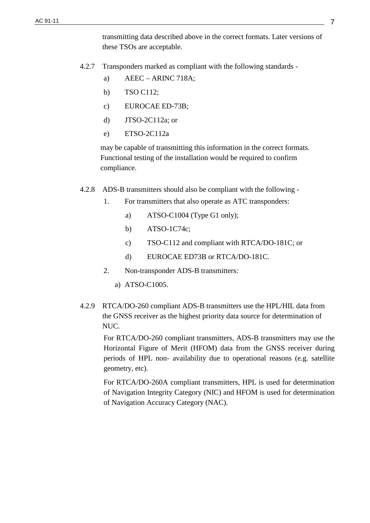transmitting data described above in the correct formats. Later versions of these TSOs are acceptable.

- 4.2.7 Transponders marked as compliant with the following standards
	- a)  $AEEC ARINC 718A;$
	- b) TSO C112;
	- c) EUROCAE ED-73B;
	- d) JTSO-2C112a; or
	- e) ETSO-2C112a

may be capable of transmitting this information in the correct formats. Functional testing of the installation would be required to confirm compliance.

- 4.2.8 ADS-B transmitters should also be compliant with the following
	- 1. For transmitters that also operate as ATC transponders:
		- a) ATSO-C1004 (Type G1 only);
		- b) ATSO-1C74c;
		- c) TSO-C112 and compliant with RTCA/DO-181C; or
		- d) EUROCAE ED73B or RTCA/DO-181C.
	- 2. Non-transponder ADS-B transmitters:
		- a) ATSO-C1005.
- 4.2.9 RTCA/DO-260 compliant ADS-B transmitters use the HPL/HIL data from the GNSS receiver as the highest priority data source for determination of NUC.

For RTCA/DO-260 compliant transmitters, ADS-B transmitters may use the Horizontal Figure of Merit (HFOM) data from the GNSS receiver during periods of HPL non- availability due to operational reasons (e.g. satellite geometry, etc).

For RTCA/DO-260A compliant transmitters, HPL is used for determination of Navigation Integrity Category (NIC) and HFOM is used for determination of Navigation Accuracy Category (NAC).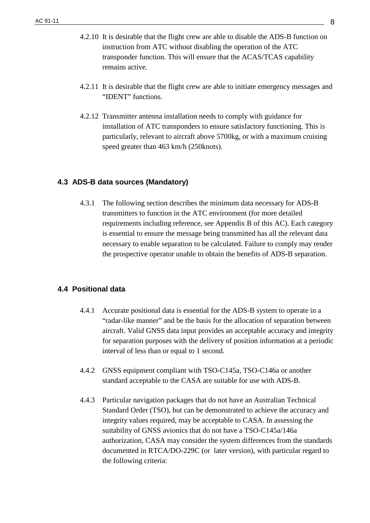- 4.2.10 It is desirable that the flight crew are able to disable the ADS-B function on instruction from ATC without disabling the operation of the ATC transponder function. This will ensure that the ACAS/TCAS capability remains active.
- 4.2.11 It is desirable that the flight crew are able to initiate emergency messages and "IDENT" functions.
- 4.2.12 Transmitter antenna installation needs to comply with guidance for installation of ATC transponders to ensure satisfactory functioning. This is particularly, relevant to aircraft above 5700kg, or with a maximum cruising speed greater than 463 km/h (250knots).

# **4.3 ADS-B data sources (Mandatory)**

4.3.1 The following section describes the minimum data necessary for ADS-B transmitters to function in the ATC environment (for more detailed requirements including reference, see Appendix B of this AC). Each category is essential to ensure the message being transmitted has all the relevant data necessary to enable separation to be calculated. Failure to comply may render the prospective operator unable to obtain the benefits of ADS-B separation.

# **4.4 Positional data**

- 4.4.1 Accurate positional data is essential for the ADS-B system to operate in a "radar-like manner" and be the basis for the allocation of separation between aircraft. Valid GNSS data input provides an acceptable accuracy and integrity for separation purposes with the delivery of position information at a periodic interval of less than or equal to 1 second.
- 4.4.2 GNSS equipment compliant with TSO-C145a, TSO-C146a or another standard acceptable to the CASA are suitable for use with ADS-B.
- 4.4.3 Particular navigation packages that do not have an Australian Technical Standard Order (TSO), but can be demonstrated to achieve the accuracy and integrity values required, may be acceptable to CASA. In assessing the suitability of GNSS avionics that do not have a TSO-C145a/146a authorization, CASA may consider the system differences from the standards documented in RTCA/DO-229C (or later version), with particular regard to the following criteria: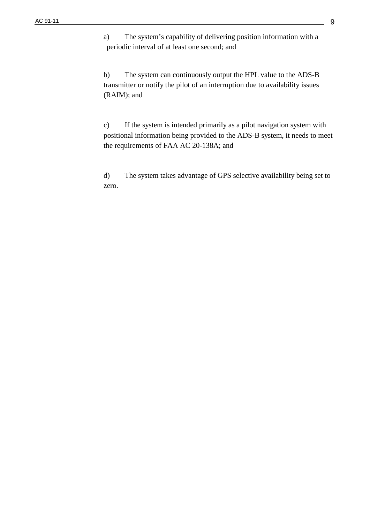a) The system's capability of delivering position information with a periodic interval of at least one second; and

b) The system can continuously output the HPL value to the ADS-B transmitter or notify the pilot of an interruption due to availability issues (RAIM); and

c) If the system is intended primarily as a pilot navigation system with positional information being provided to the ADS-B system, it needs to meet the requirements of FAA AC 20-138A; and

d) The system takes advantage of GPS selective availability being set to zero.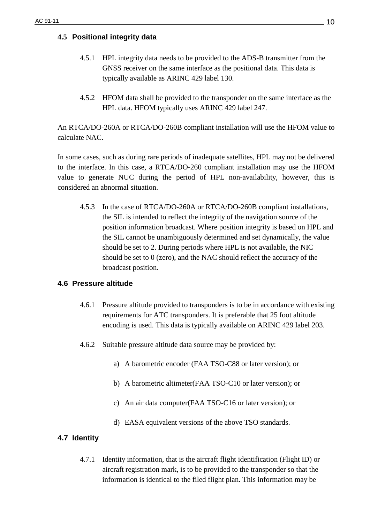#### **4.5 Positional integrity data**

- 4.5.1 HPL integrity data needs to be provided to the ADS-B transmitter from the GNSS receiver on the same interface as the positional data. This data is typically available as ARINC 429 label 130.
- 4.5.2 HFOM data shall be provided to the transponder on the same interface as the HPL data. HFOM typically uses ARINC 429 label 247.

An RTCA/DO-260A or RTCA/DO-260B compliant installation will use the HFOM value to calculate NAC.

In some cases, such as during rare periods of inadequate satellites, HPL may not be delivered to the interface. In this case, a RTCA/DO-260 compliant installation may use the HFOM value to generate NUC during the period of HPL non-availability, however, this is considered an abnormal situation.

4.5.3 In the case of RTCA/DO-260A or RTCA/DO-260B compliant installations, the SIL is intended to reflect the integrity of the navigation source of the position information broadcast. Where position integrity is based on HPL and the SIL cannot be unambiguously determined and set dynamically, the value should be set to 2. During periods where HPL is not available, the NIC should be set to 0 (zero), and the NAC should reflect the accuracy of the broadcast position.

#### **4.6 Pressure altitude**

- 4.6.1 Pressure altitude provided to transponders is to be in accordance with existing requirements for ATC transponders. It is preferable that 25 foot altitude encoding is used. This data is typically available on ARINC 429 label 203.
- 4.6.2 Suitable pressure altitude data source may be provided by:
	- a) A barometric encoder (FAA TSO-C88 or later version); or
	- b) A barometric altimeter(FAA TSO-C10 or later version); or
	- c) An air data computer(FAA TSO-C16 or later version); or
	- d) EASA equivalent versions of the above TSO standards.

# **4.7 Identity**

4.7.1 Identity information, that is the aircraft flight identification (Flight ID) or aircraft registration mark, is to be provided to the transponder so that the information is identical to the filed flight plan. This information may be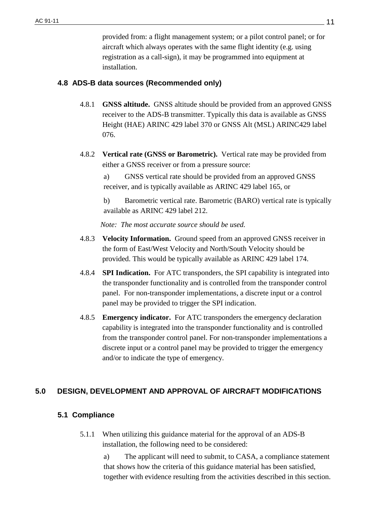provided from: a flight management system; or a pilot control panel; or for aircraft which always operates with the same flight identity (e.g. using registration as a call-sign), it may be programmed into equipment at installation.

# **4.8 ADS-B data sources (Recommended only)**

- 4.8.1 **GNSS altitude.** GNSS altitude should be provided from an approved GNSS receiver to the ADS-B transmitter. Typically this data is available as GNSS Height (HAE) ARINC 429 label 370 or GNSS Alt (MSL) ARINC429 label 076.
- 4.8.2 **Vertical rate (GNSS or Barometric).** Vertical rate may be provided from either a GNSS receiver or from a pressure source:

a) GNSS vertical rate should be provided from an approved GNSS receiver, and is typically available as ARINC 429 label 165, or

b) Barometric vertical rate. Barometric (BARO) vertical rate is typically available as ARINC 429 label 212.

*Note: The most accurate source should be used.*

- 4.8.3 **Velocity Information.** Ground speed from an approved GNSS receiver in the form of East/West Velocity and North/South Velocity should be provided. This would be typically available as ARINC 429 label 174.
- 4.8.4 **SPI Indication.** For ATC transponders, the SPI capability is integrated into the transponder functionality and is controlled from the transponder control panel. For non-transponder implementations, a discrete input or a control panel may be provided to trigger the SPI indication.
- 4.8.5 **Emergency indicator.** For ATC transponders the emergency declaration capability is integrated into the transponder functionality and is controlled from the transponder control panel. For non-transponder implementations a discrete input or a control panel may be provided to trigger the emergency and/or to indicate the type of emergency.

# **5.0 DESIGN, DEVELOPMENT AND APPROVAL OF AIRCRAFT MODIFICATIONS**

# **5.1 Compliance**

5.1.1 When utilizing this guidance material for the approval of an ADS-B installation, the following need to be considered:

> a) The applicant will need to submit, to CASA, a compliance statement that shows how the criteria of this guidance material has been satisfied, together with evidence resulting from the activities described in this section.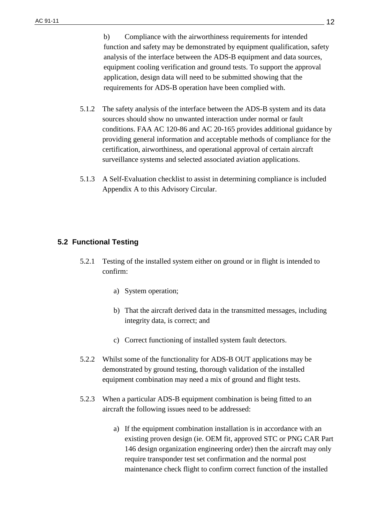b) Compliance with the airworthiness requirements for intended function and safety may be demonstrated by equipment qualification, safety analysis of the interface between the ADS-B equipment and data sources, equipment cooling verification and ground tests. To support the approval application, design data will need to be submitted showing that the requirements for ADS-B operation have been complied with.

- 5.1.2 The safety analysis of the interface between the ADS-B system and its data sources should show no unwanted interaction under normal or fault conditions. FAA AC 120-86 and AC 20-165 provides additional guidance by providing general information and acceptable methods of compliance for the certification, airworthiness, and operational approval of certain aircraft surveillance systems and selected associated aviation applications.
- 5.1.3 A Self-Evaluation checklist to assist in determining compliance is included Appendix A to this Advisory Circular.

# **5.2 Functional Testing**

- 5.2.1 Testing of the installed system either on ground or in flight is intended to confirm:
	- a) System operation;
	- b) That the aircraft derived data in the transmitted messages, including integrity data, is correct; and
	- c) Correct functioning of installed system fault detectors.
- 5.2.2 Whilst some of the functionality for ADS-B OUT applications may be demonstrated by ground testing, thorough validation of the installed equipment combination may need a mix of ground and flight tests.
- 5.2.3 When a particular ADS-B equipment combination is being fitted to an aircraft the following issues need to be addressed:
	- a) If the equipment combination installation is in accordance with an existing proven design (ie. OEM fit, approved STC or PNG CAR Part 146 design organization engineering order) then the aircraft may only require transponder test set confirmation and the normal post maintenance check flight to confirm correct function of the installed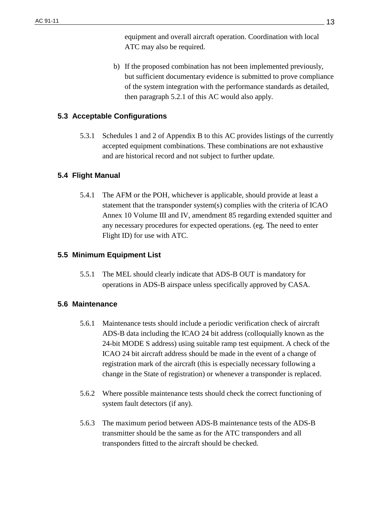equipment and overall aircraft operation. Coordination with local ATC may also be required.

b) If the proposed combination has not been implemented previously, but sufficient documentary evidence is submitted to prove compliance of the system integration with the performance standards as detailed, then paragraph 5.2.1 of this AC would also apply.

# **5.3 Acceptable Configurations**

5.3.1 Schedules 1 and 2 of Appendix B to this AC provides listings of the currently accepted equipment combinations. These combinations are not exhaustive and are historical record and not subject to further update.

# **5.4 Flight Manual**

5.4.1 The AFM or the POH, whichever is applicable, should provide at least a statement that the transponder system(s) complies with the criteria of ICAO Annex 10 Volume III and IV, amendment 85 regarding extended squitter and any necessary procedures for expected operations. (eg. The need to enter Flight ID) for use with ATC.

# **5.5 Minimum Equipment List**

5.5.1 The MEL should clearly indicate that ADS-B OUT is mandatory for operations in ADS-B airspace unless specifically approved by CASA.

# **5.6 Maintenance**

- 5.6.1 Maintenance tests should include a periodic verification check of aircraft ADS-B data including the ICAO 24 bit address (colloquially known as the 24-bit MODE S address) using suitable ramp test equipment. A check of the ICAO 24 bit aircraft address should be made in the event of a change of registration mark of the aircraft (this is especially necessary following a change in the State of registration) or whenever a transponder is replaced.
- 5.6.2 Where possible maintenance tests should check the correct functioning of system fault detectors (if any).
- 5.6.3 The maximum period between ADS-B maintenance tests of the ADS-B transmitter should be the same as for the ATC transponders and all transponders fitted to the aircraft should be checked.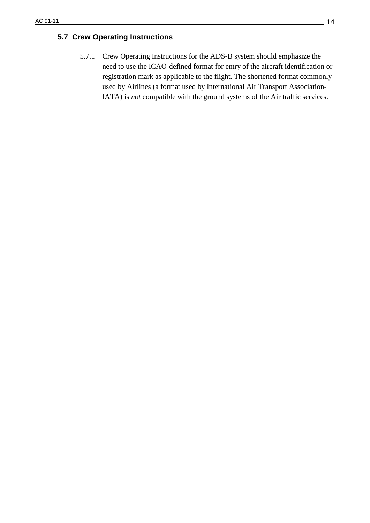# **5.7 Crew Operating Instructions**

5.7.1 Crew Operating Instructions for the ADS-B system should emphasize the need to use the ICAO-defined format for entry of the aircraft identification or registration mark as applicable to the flight. The shortened format commonly used by Airlines (a format used by International Air Transport Association-IATA) is *not* compatible with the ground systems of the Air traffic services.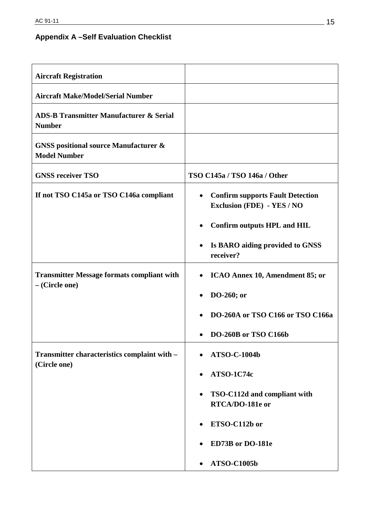# **Appendix A –Self Evaluation Checklist**

| <b>Aircraft Registration</b>                                          |                                                                                           |
|-----------------------------------------------------------------------|-------------------------------------------------------------------------------------------|
| <b>Aircraft Make/Model/Serial Number</b>                              |                                                                                           |
| <b>ADS-B Transmitter Manufacturer &amp; Serial</b><br><b>Number</b>   |                                                                                           |
| <b>GNSS</b> positional source Manufacturer &<br><b>Model Number</b>   |                                                                                           |
| <b>GNSS receiver TSO</b>                                              | TSO C145a / TSO 146a / Other                                                              |
| If not TSO C145a or TSO C146a compliant                               | <b>Confirm supports Fault Detection</b><br>$\bullet$<br><b>Exclusion (FDE) - YES / NO</b> |
|                                                                       | <b>Confirm outputs HPL and HIL</b><br>$\bullet$                                           |
|                                                                       | Is BARO aiding provided to GNSS<br>٠<br>receiver?                                         |
| <b>Transmitter Message formats compliant with</b><br>$-$ (Circle one) | ICAO Annex 10, Amendment 85; or<br>$\bullet$                                              |
|                                                                       | DO-260; or<br>٠                                                                           |
|                                                                       | DO-260A or TSO C166 or TSO C166a                                                          |
|                                                                       | DO-260B or TSO C166b                                                                      |
| Transmitter characteristics complaint with -<br>(Circle one)          | <b>ATSO-C-1004b</b><br>٠                                                                  |
|                                                                       | ATSO-1C74c<br>$\bullet$                                                                   |
|                                                                       | TSO-C112d and compliant with<br>٠<br>RTCA/DO-181e or                                      |
|                                                                       | ETSO-C112b or<br>$\bullet$                                                                |
|                                                                       | ED73B or DO-181e                                                                          |
|                                                                       | <b>ATSO-C1005b</b>                                                                        |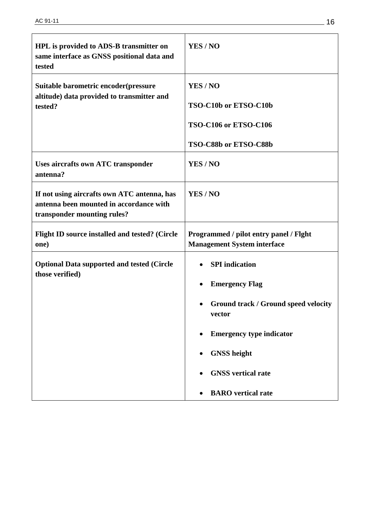| HPL is provided to ADS-B transmitter on<br>same interface as GNSS positional data and<br>tested                       | YES/NO                                                                                                                                                                                                                          |  |
|-----------------------------------------------------------------------------------------------------------------------|---------------------------------------------------------------------------------------------------------------------------------------------------------------------------------------------------------------------------------|--|
| Suitable barometric encoder (pressure<br>altitude) data provided to transmitter and<br>tested?                        | YES/NO<br>TSO-C10b or ETSO-C10b<br>TSO-C106 or ETSO-C106<br>TSO-C88b or ETSO-C88b                                                                                                                                               |  |
| Uses aircrafts own ATC transponder<br>antenna?                                                                        | YES/NO                                                                                                                                                                                                                          |  |
| If not using aircrafts own ATC antenna, has<br>antenna been mounted in accordance with<br>transponder mounting rules? | YES/NO                                                                                                                                                                                                                          |  |
| Flight ID source installed and tested? (Circle<br>one)                                                                | Programmed / pilot entry panel / Flght<br><b>Management System interface</b>                                                                                                                                                    |  |
| <b>Optional Data supported and tested (Circle</b><br>those verified)                                                  | <b>SPI</b> indication<br><b>Emergency Flag</b><br><b>Ground track / Ground speed velocity</b><br>٠<br>vector<br><b>Emergency type indicator</b><br><b>GNSS</b> height<br><b>GNSS</b> vertical rate<br><b>BARO</b> vertical rate |  |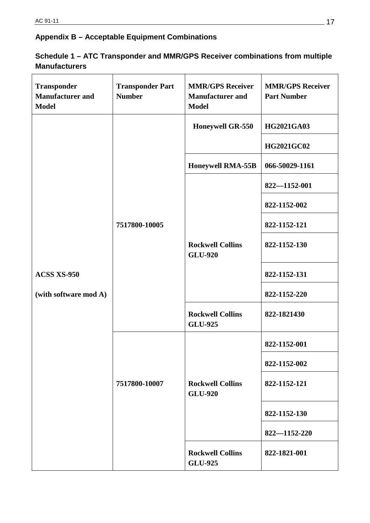# **Appendix B – Acceptable Equipment Combinations**

| Schedule 1 – ATC Transponder and MMR/GPS Receiver combinations from multiple |
|------------------------------------------------------------------------------|
| <b>Manufacturers</b>                                                         |

| <b>Transponder</b><br><b>Manufacturer and</b><br><b>Model</b> | <b>Transponder Part</b><br><b>Number</b> | <b>MMR/GPS Receiver</b><br><b>Manufacturer and</b><br><b>Model</b> | <b>MMR/GPS Receiver</b><br><b>Part Number</b> |
|---------------------------------------------------------------|------------------------------------------|--------------------------------------------------------------------|-----------------------------------------------|
|                                                               |                                          | <b>Honeywell GR-550</b>                                            | <b>HG2021GA03</b>                             |
|                                                               |                                          |                                                                    | <b>HG2021GC02</b>                             |
|                                                               |                                          | Honeywell RMA-55B                                                  | 066-50029-1161                                |
|                                                               |                                          |                                                                    | 822-1152-001                                  |
|                                                               |                                          |                                                                    | 822-1152-002                                  |
|                                                               | 7517800-10005                            |                                                                    | 822-1152-121                                  |
|                                                               |                                          | <b>Rockwell Collins</b><br><b>GLU-920</b>                          | 822-1152-130                                  |
| ACSS XS-950                                                   |                                          |                                                                    | 822-1152-131                                  |
| (with software mod A)                                         |                                          |                                                                    | 822-1152-220                                  |
|                                                               |                                          | <b>Rockwell Collins</b><br><b>GLU-925</b>                          | 822-1821430                                   |
|                                                               | 7517800-10007                            | <b>Rockwell Collins</b><br><b>GLU-920</b>                          | 822-1152-001                                  |
|                                                               |                                          |                                                                    | 822-1152-002                                  |
|                                                               |                                          |                                                                    | 822-1152-121                                  |
|                                                               |                                          |                                                                    | 822-1152-130                                  |
|                                                               |                                          |                                                                    | 822-1152-220                                  |
|                                                               |                                          | <b>Rockwell Collins</b><br><b>GLU-925</b>                          | 822-1821-001                                  |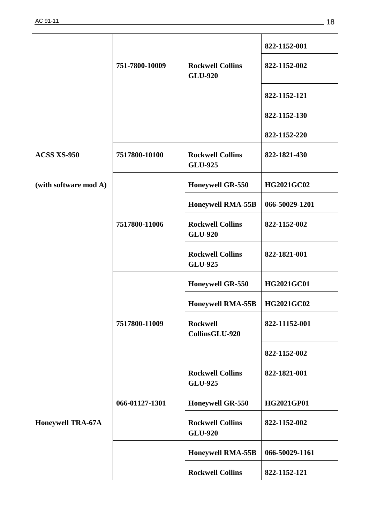|                          |                |                                           | 822-1152-001      |
|--------------------------|----------------|-------------------------------------------|-------------------|
|                          | 751-7800-10009 | <b>Rockwell Collins</b><br><b>GLU-920</b> | 822-1152-002      |
|                          |                |                                           | 822-1152-121      |
|                          |                |                                           | 822-1152-130      |
|                          |                |                                           | 822-1152-220      |
| <b>ACSS XS-950</b>       | 7517800-10100  | <b>Rockwell Collins</b><br><b>GLU-925</b> | 822-1821-430      |
| (with software mod A)    |                | <b>Honeywell GR-550</b>                   | <b>HG2021GC02</b> |
|                          |                | <b>Honeywell RMA-55B</b>                  | 066-50029-1201    |
|                          | 7517800-11006  | <b>Rockwell Collins</b><br><b>GLU-920</b> | 822-1152-002      |
|                          |                | <b>Rockwell Collins</b><br><b>GLU-925</b> | 822-1821-001      |
|                          |                | <b>Honeywell GR-550</b>                   | <b>HG2021GC01</b> |
|                          |                | <b>Honeywell RMA-55B</b>                  | HG2021GC02        |
|                          | 7517800-11009  | <b>Rockwell</b><br>CollinsGLU-920         | 822-11152-001     |
|                          |                |                                           | 822-1152-002      |
|                          |                | <b>Rockwell Collins</b><br><b>GLU-925</b> | 822-1821-001      |
|                          | 066-01127-1301 | <b>Honeywell GR-550</b>                   | HG2021GP01        |
| <b>Honeywell TRA-67A</b> |                | <b>Rockwell Collins</b><br><b>GLU-920</b> | 822-1152-002      |
|                          |                | <b>Honeywell RMA-55B</b>                  | 066-50029-1161    |
|                          |                | <b>Rockwell Collins</b>                   | 822-1152-121      |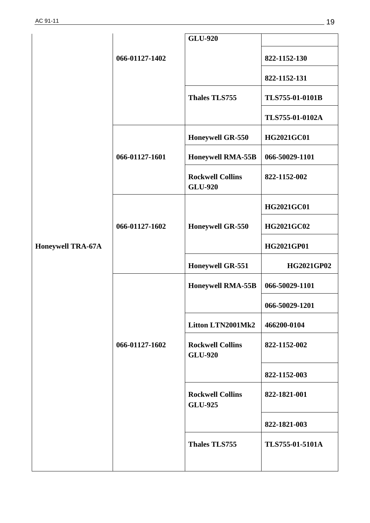|                          |                | <b>GLU-920</b>                            |                   |
|--------------------------|----------------|-------------------------------------------|-------------------|
|                          | 066-01127-1402 |                                           | 822-1152-130      |
|                          |                |                                           | 822-1152-131      |
|                          |                | <b>Thales TLS755</b>                      | TLS755-01-0101B   |
|                          |                |                                           | TLS755-01-0102A   |
|                          |                | <b>Honeywell GR-550</b>                   | <b>HG2021GC01</b> |
|                          | 066-01127-1601 | <b>Honeywell RMA-55B</b>                  | 066-50029-1101    |
|                          |                | <b>Rockwell Collins</b><br><b>GLU-920</b> | 822-1152-002      |
|                          |                |                                           | <b>HG2021GC01</b> |
|                          | 066-01127-1602 | <b>Honeywell GR-550</b>                   | <b>HG2021GC02</b> |
| <b>Honeywell TRA-67A</b> |                |                                           | HG2021GP01        |
|                          |                | <b>Honeywell GR-551</b>                   | <b>HG2021GP02</b> |
|                          |                | <b>Honeywell RMA-55B</b>                  | 066-50029-1101    |
|                          |                |                                           | 066-50029-1201    |
|                          |                | Litton LTN2001Mk2                         | 466200-0104       |
|                          | 066-01127-1602 | <b>Rockwell Collins</b><br><b>GLU-920</b> | 822-1152-002      |
|                          |                |                                           | 822-1152-003      |
|                          |                | <b>Rockwell Collins</b><br><b>GLU-925</b> | 822-1821-001      |
|                          |                |                                           | 822-1821-003      |
|                          |                | <b>Thales TLS755</b>                      | TLS755-01-5101A   |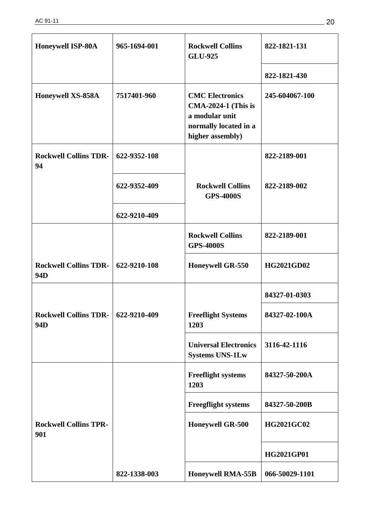| <b>Honeywell ISP-80A</b>            | 965-1694-001 | <b>Rockwell Collins</b><br><b>GLU-925</b>                                                                           | 822-1821-131      |
|-------------------------------------|--------------|---------------------------------------------------------------------------------------------------------------------|-------------------|
|                                     |              |                                                                                                                     | 822-1821-430      |
| Honeywell XS-858A                   | 7517401-960  | <b>CMC Electronics</b><br><b>CMA-2024-1 (This is</b><br>a modular unit<br>normally located in a<br>higher assembly) | 245-604067-100    |
| <b>Rockwell Collins TDR-</b><br>94  | 622-9352-108 |                                                                                                                     | 822-2189-001      |
|                                     | 622-9352-409 | <b>Rockwell Collins</b><br><b>GPS-4000S</b>                                                                         | 822-2189-002      |
|                                     | 622-9210-409 |                                                                                                                     |                   |
|                                     |              | <b>Rockwell Collins</b><br><b>GPS-4000S</b>                                                                         | 822-2189-001      |
| <b>Rockwell Collins TDR-</b><br>94D | 622-9210-108 | <b>Honeywell GR-550</b>                                                                                             | <b>HG2021GD02</b> |
|                                     |              |                                                                                                                     | 84327-01-0303     |
| <b>Rockwell Collins TDR-</b><br>94D | 622-9210-409 | <b>Freeflight Systems</b><br>1203                                                                                   | 84327-02-100A     |
|                                     |              | <b>Universal Electronics</b><br><b>Systems UNS-1Lw</b>                                                              | 3116-42-1116      |
|                                     |              | <b>Freeflight systems</b><br>1203                                                                                   | 84327-50-200A     |
|                                     |              | <b>Freegflight systems</b>                                                                                          | 84327-50-200B     |
| <b>Rockwell Collins TPR-</b><br>901 |              | <b>Honeywell GR-500</b>                                                                                             | <b>HG2021GC02</b> |
|                                     |              |                                                                                                                     | HG2021GP01        |
|                                     | 822-1338-003 | <b>Honeywell RMA-55B</b>                                                                                            | 066-50029-1101    |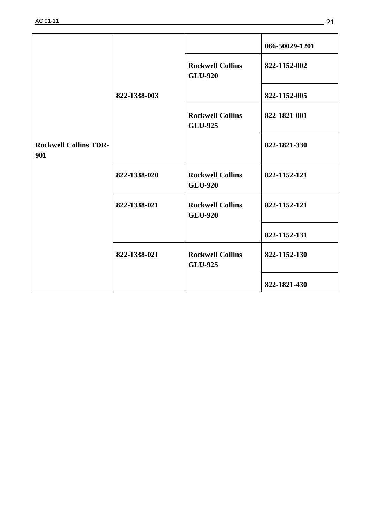|                                     |              |                                           | 066-50029-1201 |
|-------------------------------------|--------------|-------------------------------------------|----------------|
|                                     | 822-1338-003 | <b>Rockwell Collins</b><br><b>GLU-920</b> | 822-1152-002   |
|                                     |              |                                           | 822-1152-005   |
|                                     |              | <b>Rockwell Collins</b><br><b>GLU-925</b> | 822-1821-001   |
| <b>Rockwell Collins TDR-</b><br>901 |              |                                           | 822-1821-330   |
|                                     | 822-1338-020 | <b>Rockwell Collins</b><br><b>GLU-920</b> | 822-1152-121   |
|                                     | 822-1338-021 | <b>Rockwell Collins</b><br><b>GLU-920</b> | 822-1152-121   |
|                                     |              |                                           | 822-1152-131   |
|                                     | 822-1338-021 | <b>Rockwell Collins</b><br><b>GLU-925</b> | 822-1152-130   |
|                                     |              |                                           | 822-1821-430   |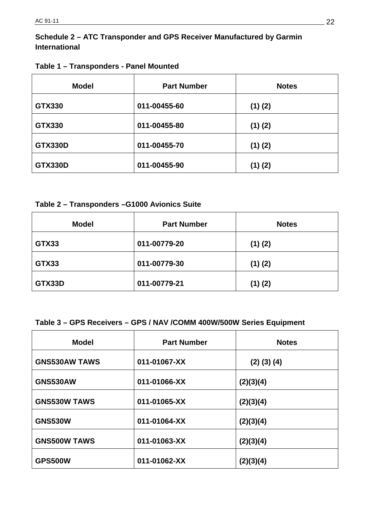# **Schedule 2 – ATC Transponder and GPS Receiver Manufactured by Garmin International**

| <b>Model</b>   | <b>Part Number</b> | <b>Notes</b> |
|----------------|--------------------|--------------|
| <b>GTX330</b>  | 011-00455-60       | $(1)$ $(2)$  |
| <b>GTX330</b>  | 011-00455-80       | $(1)$ $(2)$  |
| <b>GTX330D</b> | 011-00455-70       | $(1)$ $(2)$  |
| <b>GTX330D</b> | 011-00455-90       | $(1)$ $(2)$  |

# **Table 2 – Transponders –G1000 Avionics Suite**

| <b>Model</b> | <b>Part Number</b> | <b>Notes</b> |
|--------------|--------------------|--------------|
| GTX33        | 011-00779-20       | $(1)$ $(2)$  |
| GTX33        | 011-00779-30       | $(1)$ $(2)$  |
| GTX33D       | 011-00779-21       | $(1)$ $(2)$  |

# **Table 3 – GPS Receivers – GPS / NAV /COMM 400W/500W Series Equipment**

| <b>Model</b>         | <b>Part Number</b> | <b>Notes</b>      |
|----------------------|--------------------|-------------------|
| <b>GNS530AW TAWS</b> | 011-01067-XX       | $(2)$ $(3)$ $(4)$ |
| <b>GNS530AW</b>      | 011-01066-XX       | (2)(3)(4)         |
| <b>GNS530W TAWS</b>  | 011-01065-XX       | (2)(3)(4)         |
| <b>GNS530W</b>       | 011-01064-XX       | (2)(3)(4)         |
| <b>GNS500W TAWS</b>  | 011-01063-XX       | (2)(3)(4)         |
| <b>GPS500W</b>       | 011-01062-XX       | (2)(3)(4)         |